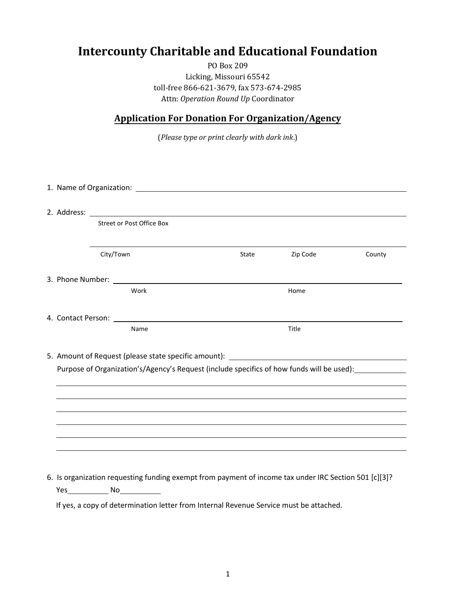## **Intercounty Charitable and Educational Foundation**

PO Box 209 Licking, Missouri 65542 toll-free 866-621-3679, fax 573-674-2985 Attn: *Operation Round Up* Coordinator

## **Application For Donation For Organization/Agency**

(*Please type or print clearly with dark ink*.)

|           | Street or Post Office Box |                                                                                                       |          |        |
|-----------|---------------------------|-------------------------------------------------------------------------------------------------------|----------|--------|
| City/Town |                           | State                                                                                                 | Zip Code | County |
|           |                           |                                                                                                       |          |        |
|           | Work                      |                                                                                                       | Home     |        |
|           |                           |                                                                                                       |          |        |
|           | Name                      |                                                                                                       | Title    |        |
|           |                           |                                                                                                       |          |        |
|           |                           | Purpose of Organization's/Agency's Request (include specifics of how funds will be used):             |          |        |
|           |                           |                                                                                                       |          |        |
|           |                           |                                                                                                       |          |        |
|           |                           |                                                                                                       |          |        |
|           |                           |                                                                                                       |          |        |
|           |                           |                                                                                                       |          |        |
|           |                           | 6. Is organization requesting funding exempt from payment of income tax under IRC Section 501 [c][3]? |          |        |

Yes ... No ... No ... No ... No ... No ... No ... No ... No ... No ... No ... No ... No ... No ... No ... No ... No ... No ... No ... No ... No ... No ... No ... No ... No ... No ... No ... No ... No ... No ... No ... No .

If yes, a copy of determination letter from Internal Revenue Service must be attached.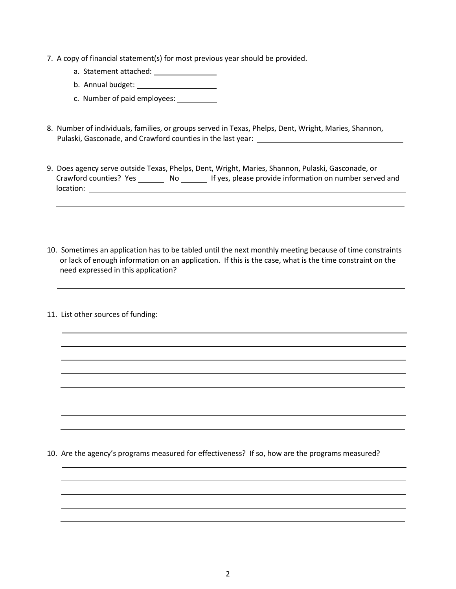- 7. A copy of financial statement(s) for most previous year should be provided.
	- a. Statement attached: .
	- b. Annual budget: .
	- c. Number of paid employees:
- 8. Number of individuals, families, or groups served in Texas, Phelps, Dent, Wright, Maries, Shannon, Pulaski, Gasconade, and Crawford counties in the last year: \_\_\_\_\_\_\_\_\_\_\_\_\_\_\_\_\_\_\_\_
- 9. Does agency serve outside Texas, Phelps, Dent, Wright, Maries, Shannon, Pulaski, Gasconade, or Crawford counties? Yes \_\_\_\_\_\_\_\_ No \_\_\_\_\_\_\_ If yes, please provide information on number served and location: .

.

.

10. Sometimes an application has to be tabled until the next monthly meeting because of time constraints or lack of enough information on an application. If this is the case, what is the time constraint on the need expressed in this application?

.

<u>. Andrew Marian and American and American and American and American and American and American and American an</u> . . . . . . <u>. Andreas and the second control of the second control of the second control of the second control of the second</u>

11. List other sources of funding:

10. Are the agency's programs measured for effectiveness? If so, how are the programs measured?

 . . . . .